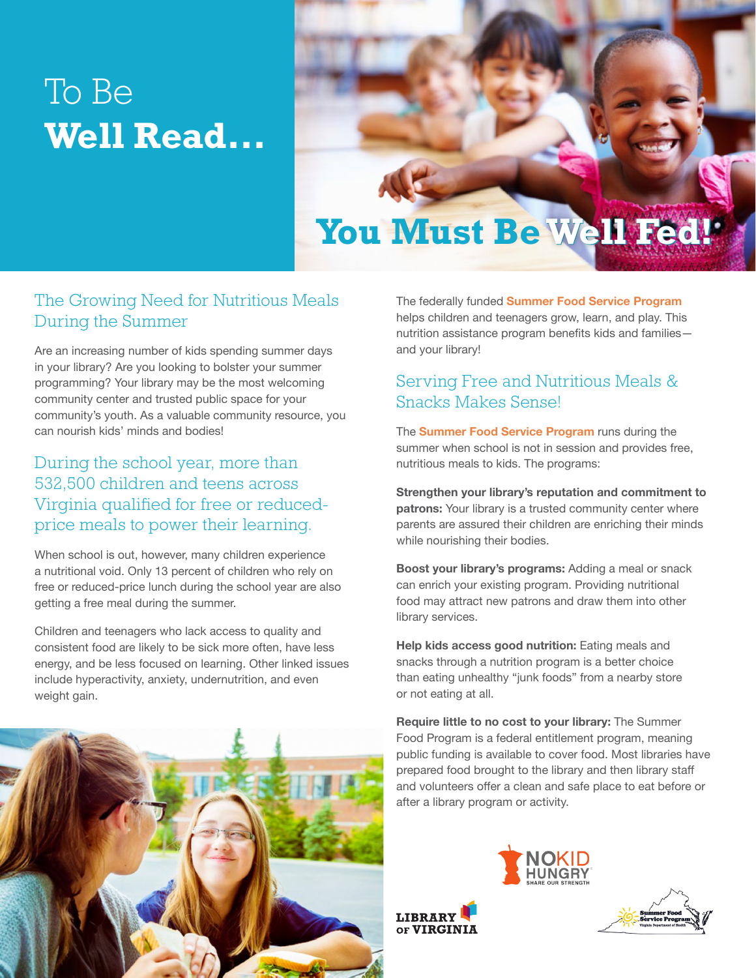# To Be **Well Read...**



## The Growing Need for Nutritious Meals During the Summer

Are an increasing number of kids spending summer days in your library? Are you looking to bolster your summer programming? Your library may be the most welcoming community center and trusted public space for your community's youth. As a valuable community resource, you can nourish kids' minds and bodies!

## During the school year, more than 532,500 children and teens across Virginia qualified for free or reducedprice meals to power their learning.

When school is out, however, many children experience a nutritional void. Only 13 percent of children who rely on free or reduced-price lunch during the school year are also getting a free meal during the summer.

Children and teenagers who lack access to quality and consistent food are likely to be sick more often, have less energy, and be less focused on learning. Other linked issues include hyperactivity, anxiety, undernutrition, and even weight gain.

The federally funded **Summer Food Service Program**  helps children and teenagers grow, learn, and play. This nutrition assistance program benefits kids and families and your library!

## Serving Free and Nutritious Meals & Snacks Makes Sense!

The **Summer Food Service Program** runs during the summer when school is not in session and provides free, nutritious meals to kids. The programs:

**Strengthen your library's reputation and commitment to patrons:** Your library is a trusted community center where parents are assured their children are enriching their minds while nourishing their bodies.

**Boost your library's programs:** Adding a meal or snack can enrich your existing program. Providing nutritional food may attract new patrons and draw them into other library services.

**Help kids access good nutrition:** Eating meals and snacks through a nutrition program is a better choice than eating unhealthy "junk foods" from a nearby store or not eating at all.

**Require little to no cost to your library:** The Summer Food Program is a federal entitlement program, meaning public funding is available to cover food. Most libraries have prepared food brought to the library and then library staff and volunteers offer a clean and safe place to eat before or after a library program or activity.